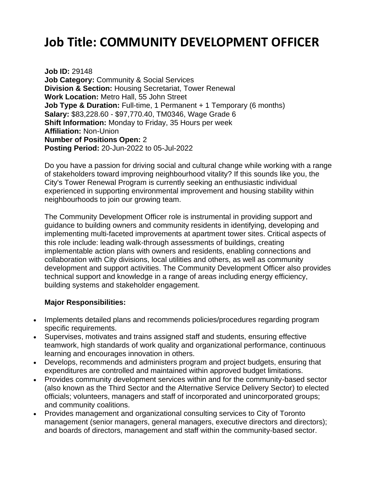# **Job Title: COMMUNITY DEVELOPMENT OFFICER**

**Job ID:** 29148 **Job Category:** Community & Social Services **Division & Section:** Housing Secretariat, Tower Renewal **Work Location:** Metro Hall, 55 John Street **Job Type & Duration:** Full-time, 1 Permanent + 1 Temporary (6 months) **Salary:** \$83,228.60 - \$97,770.40, TM0346, Wage Grade 6 **Shift Information:** Monday to Friday, 35 Hours per week **Affiliation:** Non-Union **Number of Positions Open:** 2 **Posting Period:** 20-Jun-2022 to 05-Jul-2022

Do you have a passion for driving social and cultural change while working with a range of stakeholders toward improving neighbourhood vitality? If this sounds like you, the City's Tower Renewal Program is currently seeking an enthusiastic individual experienced in supporting environmental improvement and housing stability within neighbourhoods to join our growing team.

The Community Development Officer role is instrumental in providing support and guidance to building owners and community residents in identifying, developing and implementing multi-faceted improvements at apartment tower sites. Critical aspects of this role include: leading walk-through assessments of buildings, creating implementable action plans with owners and residents, enabling connections and collaboration with City divisions, local utilities and others, as well as community development and support activities. The Community Development Officer also provides technical support and knowledge in a range of areas including energy efficiency, building systems and stakeholder engagement.

### **Major Responsibilities:**

- Implements detailed plans and recommends policies/procedures regarding program specific requirements.
- Supervises, motivates and trains assigned staff and students, ensuring effective teamwork, high standards of work quality and organizational performance, continuous learning and encourages innovation in others.
- Develops, recommends and administers program and project budgets, ensuring that expenditures are controlled and maintained within approved budget limitations.
- Provides community development services within and for the community-based sector (also known as the Third Sector and the Alternative Service Delivery Sector) to elected officials; volunteers, managers and staff of incorporated and unincorporated groups; and community coalitions.
- Provides management and organizational consulting services to City of Toronto management (senior managers, general managers, executive directors and directors); and boards of directors, management and staff within the community-based sector.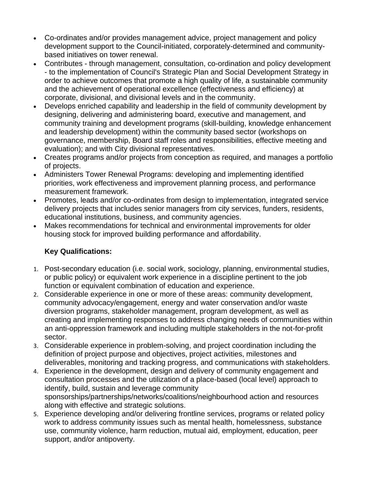- Co-ordinates and/or provides management advice, project management and policy development support to the Council-initiated, corporately-determined and communitybased initiatives on tower renewal.
- Contributes through management, consultation, co-ordination and policy development - to the implementation of Council's Strategic Plan and Social Development Strategy in order to achieve outcomes that promote a high quality of life, a sustainable community and the achievement of operational excellence (effectiveness and efficiency) at corporate, divisional, and divisional levels and in the community.
- Develops enriched capability and leadership in the field of community development by designing, delivering and administering board, executive and management, and community training and development programs (skill-building, knowledge enhancement and leadership development) within the community based sector (workshops on governance, membership, Board staff roles and responsibilities, effective meeting and evaluation); and with City divisional representatives.
- Creates programs and/or projects from conception as required, and manages a portfolio of projects.
- Administers Tower Renewal Programs: developing and implementing identified priorities, work effectiveness and improvement planning process, and performance measurement framework.
- Promotes, leads and/or co-ordinates from design to implementation, integrated service delivery projects that includes senior managers from city services, funders, residents, educational institutions, business, and community agencies.
- Makes recommendations for technical and environmental improvements for older housing stock for improved building performance and affordability.

## **Key Qualifications:**

- 1. Post-secondary education (i.e. social work, sociology, planning, environmental studies, or public policy) or equivalent work experience in a discipline pertinent to the job function or equivalent combination of education and experience.
- 2. Considerable experience in one or more of these areas: community development, community advocacy/engagement, energy and water conservation and/or waste diversion programs, stakeholder management, program development, as well as creating and implementing responses to address changing needs of communities within an anti-oppression framework and including multiple stakeholders in the not-for-profit sector.
- 3. Considerable experience in problem-solving, and project coordination including the definition of project purpose and objectives, project activities, milestones and deliverables, monitoring and tracking progress, and communications with stakeholders.
- 4. Experience in the development, design and delivery of community engagement and consultation processes and the utilization of a place-based (local level) approach to identify, build, sustain and leverage community sponsorships/partnerships/networks/coalitions/neighbourhood action and resources along with effective and strategic solutions.
- 5. Experience developing and/or delivering frontline services, programs or related policy work to address community issues such as mental health, homelessness, substance use, community violence, harm reduction, mutual aid, employment, education, peer support, and/or antipoverty.